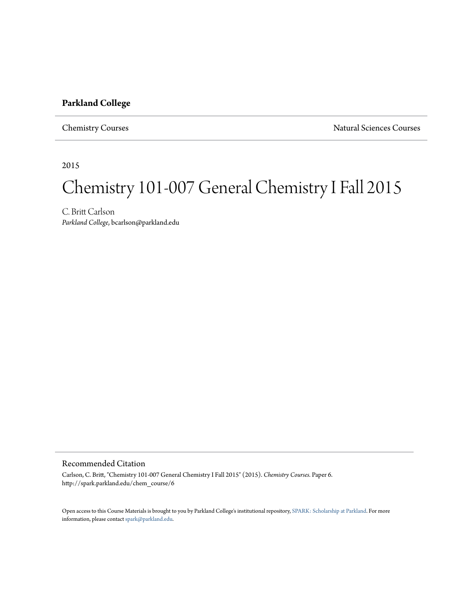#### **Parkland College**

Chemistry Courses Natural Sciences Courses

2015

# Chemistry 101-007 General Chemistry I Fall 2015

C. Britt Carlson *Parkland College*, bcarlson@parkland.edu

#### Recommended Citation

Carlson, C. Britt, "Chemistry 101-007 General Chemistry I Fall 2015" (2015). *Chemistry Courses.* Paper 6. http://spark.parkland.edu/chem\_course/6

Open access to this Course Materials is brought to you by Parkland College's institutional repository, [SPARK: Scholarship at Parkland](http://spark.parkland.edu/). For more information, please contact [spark@parkland.edu](mailto:spark@parkland.edu).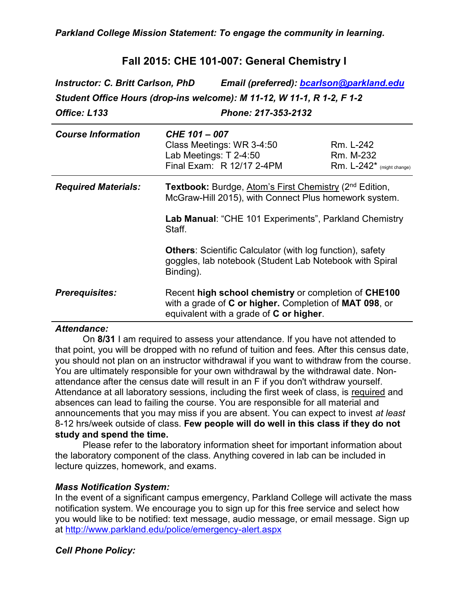## **Fall 2015: CHE 101-007: General Chemistry I**

*Instructor: C. Britt Carlson, PhD Email (preferred): [bcarlson@parkland.edu](mailto:bcarlson@parkland.edu) Student Office Hours (drop-ins welcome): M 11-12, W 11-1, R 1-2, F 1-2 Office: L133 Phone: 217-353-2132*

| <b>Course Information</b>  | CHE 101 - 007<br>Class Meetings: WR 3-4:50<br>Lab Meetings: T 2-4:50<br>Final Exam: R 12/17 2-4PM                                                           | Rm. L-242<br>Rm. M-232<br>$Rm. L-242*$ (might change) |  |
|----------------------------|-------------------------------------------------------------------------------------------------------------------------------------------------------------|-------------------------------------------------------|--|
| <b>Required Materials:</b> | <b>Textbook:</b> Burdge, Atom's First Chemistry (2 <sup>nd</sup> Edition,<br>McGraw-Hill 2015), with Connect Plus homework system.                          |                                                       |  |
|                            | Lab Manual: "CHE 101 Experiments", Parkland Chemistry<br>Staff.                                                                                             |                                                       |  |
|                            | <b>Others: Scientific Calculator (with log function), safety</b><br>goggles, lab notebook (Student Lab Notebook with Spiral<br>Binding).                    |                                                       |  |
| <b>Prerequisites:</b>      | Recent high school chemistry or completion of CHE100<br>with a grade of C or higher. Completion of MAT 098, or<br>equivalent with a grade of $C$ or higher. |                                                       |  |

#### *Attendance:*

On **8/31** I am required to assess your attendance. If you have not attended to that point, you will be dropped with no refund of tuition and fees. After this census date, you should not plan on an instructor withdrawal if you want to withdraw from the course. You are ultimately responsible for your own withdrawal by the withdrawal date. Nonattendance after the census date will result in an F if you don't withdraw yourself. Attendance at all laboratory sessions, including the first week of class, is required and absences can lead to failing the course. You are responsible for all material and announcements that you may miss if you are absent. You can expect to invest *at least* 8-12 hrs/week outside of class. **Few people will do well in this class if they do not study and spend the time.**

Please refer to the laboratory information sheet for important information about the laboratory component of the class. Anything covered in lab can be included in lecture quizzes, homework, and exams.

#### *Mass Notification System:*

In the event of a significant campus emergency, Parkland College will activate the mass notification system. We encourage you to sign up for this free service and select how you would like to be notified: text message, audio message, or email message. Sign up at<http://www.parkland.edu/police/emergency-alert.aspx>

#### *Cell Phone Policy:*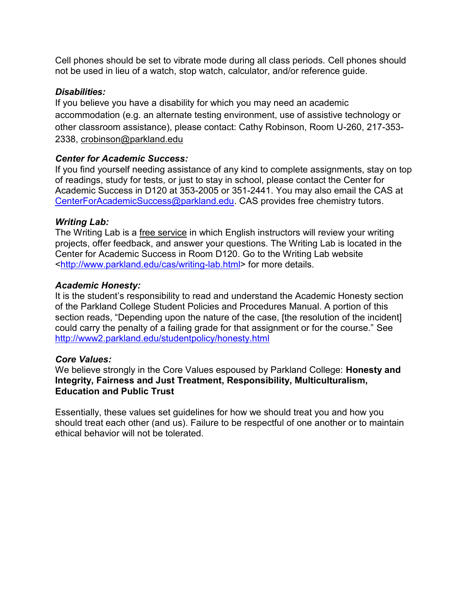Cell phones should be set to vibrate mode during all class periods. Cell phones should not be used in lieu of a watch, stop watch, calculator, and/or reference guide.

### *Disabilities:*

If you believe you have a disability for which you may need an academic accommodation (e.g. an alternate testing environment, use of assistive technology or other classroom assistance), please contact: Cathy Robinson, Room U-260, 217-353- 2338, crobinson@parkland.edu

### *Center for Academic Success:*

If you find yourself needing assistance of any kind to complete assignments, stay on top of readings, study for tests, or just to stay in school, please contact the Center for Academic Success in D120 at 353-2005 or 351-2441. You may also email the CAS at [CenterForAcademicSuccess@parkland.edu.](mailto:CenterForAcademicSuccess@parkland.edu) CAS provides free chemistry tutors.

#### *Writing Lab:*

The Writing Lab is a free service in which English instructors will review your writing projects, offer feedback, and answer your questions. The Writing Lab is located in the Center for Academic Success in Room D120. Go to the Writing Lab website <http://www.parkland.edu/cas/writing-lab.html> for more details.

#### *Academic Honesty:*

It is the student's responsibility to read and understand the Academic Honesty section of the Parkland College Student Policies and Procedures Manual. A portion of this section reads, "Depending upon the nature of the case, [the resolution of the incident] could carry the penalty of a failing grade for that assignment or for the course." See <http://www2.parkland.edu/studentpolicy/honesty.html>

#### *Core Values:*

We believe strongly in the Core Values espoused by Parkland College: **Honesty and Integrity, Fairness and Just Treatment, Responsibility, Multiculturalism, Education and Public Trust**

Essentially, these values set guidelines for how we should treat you and how you should treat each other (and us). Failure to be respectful of one another or to maintain ethical behavior will not be tolerated.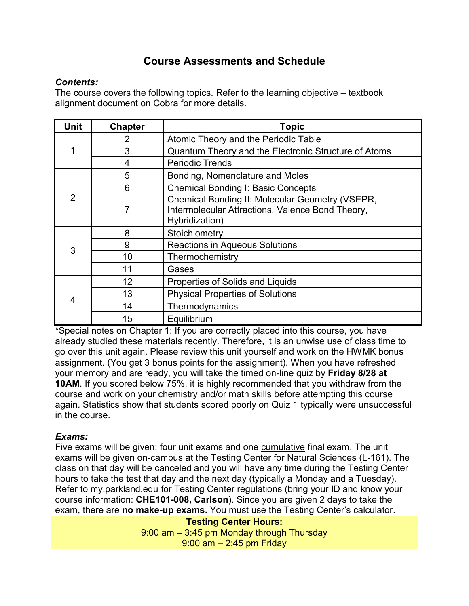# **Course Assessments and Schedule**

### *Contents:*

The course covers the following topics. Refer to the learning objective – textbook alignment document on Cobra for more details.

| Unit   | <b>Chapter</b> | <b>Topic</b>                                                                                                          |  |  |
|--------|----------------|-----------------------------------------------------------------------------------------------------------------------|--|--|
| 2<br>3 |                | Atomic Theory and the Periodic Table                                                                                  |  |  |
|        |                | Quantum Theory and the Electronic Structure of Atoms                                                                  |  |  |
|        | 4              | <b>Periodic Trends</b>                                                                                                |  |  |
|        | 5              | Bonding, Nomenclature and Moles                                                                                       |  |  |
|        | 6              | <b>Chemical Bonding I: Basic Concepts</b>                                                                             |  |  |
| 2      | 7              | Chemical Bonding II: Molecular Geometry (VSEPR,<br>Intermolecular Attractions, Valence Bond Theory,<br>Hybridization) |  |  |
|        | 8              | Stoichiometry                                                                                                         |  |  |
| 3      | 9              | <b>Reactions in Aqueous Solutions</b>                                                                                 |  |  |
|        | 10             | Thermochemistry                                                                                                       |  |  |
|        | 11             | Gases                                                                                                                 |  |  |
|        | 12             | Properties of Solids and Liquids                                                                                      |  |  |
|        | 13             | <b>Physical Properties of Solutions</b>                                                                               |  |  |
| 4      | 14             | Thermodynamics                                                                                                        |  |  |
|        | 15             | Equilibrium                                                                                                           |  |  |

\*Special notes on Chapter 1: If you are correctly placed into this course, you have already studied these materials recently. Therefore, it is an unwise use of class time to go over this unit again. Please review this unit yourself and work on the HWMK bonus assignment. (You get 3 bonus points for the assignment). When you have refreshed your memory and are ready, you will take the timed on-line quiz by **Friday 8/28 at 10AM**. If you scored below 75%, it is highly recommended that you withdraw from the course and work on your chemistry and/or math skills before attempting this course again. Statistics show that students scored poorly on Quiz 1 typically were unsuccessful in the course.

### *Exams:*

Five exams will be given: four unit exams and one cumulative final exam. The unit exams will be given on-campus at the Testing Center for Natural Sciences (L-161). The class on that day will be canceled and you will have any time during the Testing Center hours to take the test that day and the next day (typically a Monday and a Tuesday). Refer to my.parkland.edu for Testing Center regulations (bring your ID and know your course information: **CHE101-008, Carlson**). Since you are given 2 days to take the exam, there are **no make-up exams.** You must use the Testing Center's calculator.

> **Testing Center Hours:** 9:00 am – 3:45 pm Monday through Thursday 9:00 am – 2:45 pm Friday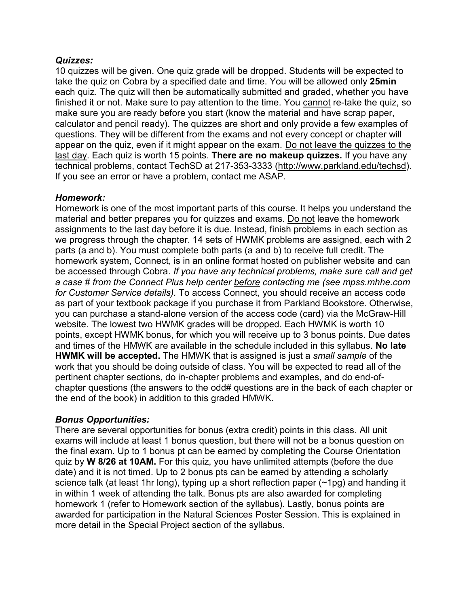#### *Quizzes:*

10 quizzes will be given. One quiz grade will be dropped. Students will be expected to take the quiz on Cobra by a specified date and time. You will be allowed only **25min** each quiz. The quiz will then be automatically submitted and graded, whether you have finished it or not. Make sure to pay attention to the time. You cannot re-take the quiz, so make sure you are ready before you start (know the material and have scrap paper, calculator and pencil ready). The quizzes are short and only provide a few examples of questions. They will be different from the exams and not every concept or chapter will appear on the quiz, even if it might appear on the exam. Do not leave the quizzes to the last day. Each quiz is worth 15 points. **There are no makeup quizzes.** If you have any technical problems, contact TechSD at 217-353-3333 [\(http://www.parkland.edu/techsd\)](http://www.parkland.edu/star). If you see an error or have a problem, contact me ASAP.

### *Homework:*

Homework is one of the most important parts of this course. It helps you understand the material and better prepares you for quizzes and exams. Do not leave the homework assignments to the last day before it is due. Instead, finish problems in each section as we progress through the chapter. 14 sets of HWMK problems are assigned, each with 2 parts (a and b). You must complete both parts (a and b) to receive full credit. The homework system, Connect, is in an online format hosted on publisher website and can be accessed through Cobra. *If you have any technical problems, make sure call and get a case # from the Connect Plus help center before contacting me (see mpss.mhhe.com for Customer Service details).* To access Connect, you should receive an access code as part of your textbook package if you purchase it from Parkland Bookstore. Otherwise, you can purchase a stand-alone version of the access code (card) via the McGraw-Hill website. The lowest two HWMK grades will be dropped. Each HWMK is worth 10 points, except HWMK bonus, for which you will receive up to 3 bonus points. Due dates and times of the HMWK are available in the schedule included in this syllabus. **No late HWMK will be accepted.** The HMWK that is assigned is just a *small sample* of the work that you should be doing outside of class. You will be expected to read all of the pertinent chapter sections, do in-chapter problems and examples, and do end-ofchapter questions (the answers to the odd# questions are in the back of each chapter or the end of the book) in addition to this graded HMWK.

### *Bonus Opportunities:*

There are several opportunities for bonus (extra credit) points in this class. All unit exams will include at least 1 bonus question, but there will not be a bonus question on the final exam. Up to 1 bonus pt can be earned by completing the Course Orientation quiz by **W 8/26 at 10AM.** For this quiz, you have unlimited attempts (before the due date) and it is not timed. Up to 2 bonus pts can be earned by attending a scholarly science talk (at least 1hr long), typing up a short reflection paper (~1pg) and handing it in within 1 week of attending the talk. Bonus pts are also awarded for completing homework 1 (refer to Homework section of the syllabus). Lastly, bonus points are awarded for participation in the Natural Sciences Poster Session. This is explained in more detail in the Special Project section of the syllabus.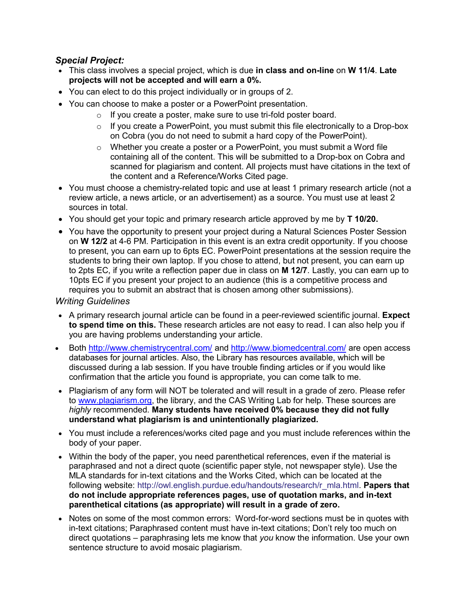#### *Special Project:*

- This class involves a special project, which is due **in class and on-line** on **W 11/4**. **Late projects will not be accepted and will earn a 0%.**
- You can elect to do this project individually or in groups of 2.
- You can choose to make a poster or a PowerPoint presentation.
	- o If you create a poster, make sure to use tri-fold poster board.
	- o If you create a PowerPoint, you must submit this file electronically to a Drop-box on Cobra (you do not need to submit a hard copy of the PowerPoint).
	- $\circ$  Whether you create a poster or a PowerPoint, you must submit a Word file containing all of the content. This will be submitted to a Drop-box on Cobra and scanned for plagiarism and content. All projects must have citations in the text of the content and a Reference/Works Cited page.
- You must choose a chemistry-related topic and use at least 1 primary research article (not a review article, a news article, or an advertisement) as a source. You must use at least 2 sources in total.
- You should get your topic and primary research article approved by me by **T 10/20.**
- You have the opportunity to present your project during a Natural Sciences Poster Session on **W 12/2** at 4-6 PM. Participation in this event is an extra credit opportunity. If you choose to present, you can earn up to 6pts EC. PowerPoint presentations at the session require the students to bring their own laptop. If you chose to attend, but not present, you can earn up to 2pts EC, if you write a reflection paper due in class on **M 12/7**. Lastly, you can earn up to 10pts EC if you present your project to an audience (this is a competitive process and requires you to submit an abstract that is chosen among other submissions).

*Writing Guidelines* 

- A primary research journal article can be found in a peer-reviewed scientific journal. **Expect to spend time on this.** These research articles are not easy to read. I can also help you if you are having problems understanding your article.
- Both<http://www.chemistrycentral.com/> and<http://www.biomedcentral.com/> are open access databases for journal articles. Also, the Library has resources available, which will be discussed during a lab session. If you have trouble finding articles or if you would like confirmation that the article you found is appropriate, you can come talk to me.
- Plagiarism of any form will NOT be tolerated and will result in a grade of zero. Please refer to [www.plagiarism.org,](http://www.plagiarism.org/) the library, and the CAS Writing Lab for help. These sources are *highly* recommended. **Many students have received 0% because they did not fully understand what plagiarism is and unintentionally plagiarized.**
- You must include a references/works cited page and you must include references within the body of your paper.
- Within the body of the paper, you need parenthetical references, even if the material is paraphrased and not a direct quote (scientific paper style, not newspaper style). Use the MLA standards for in-text citations and the Works Cited, which can be located at the following website: [http://owl.english.purdue.edu/handouts/research/r\\_mla.html.](http://owl.english.purdue.edu/handouts/research/r_mla.html) **Papers that do not include appropriate references pages, use of quotation marks, and in-text parenthetical citations (as appropriate) will result in a grade of zero.**
- Notes on some of the most common errors: Word-for-word sections must be in quotes with in-text citations; Paraphrased content must have in-text citations; Don't rely too much on direct quotations – paraphrasing lets me know that *you* know the information. Use your own sentence structure to avoid mosaic plagiarism.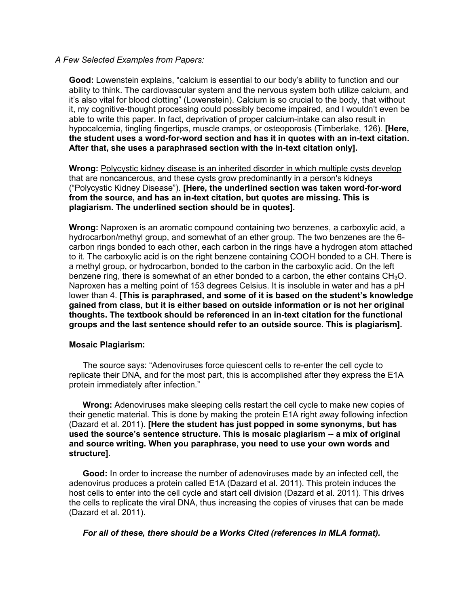#### *A Few Selected Examples from Papers:*

**Good:** Lowenstein explains, "calcium is essential to our body's ability to function and our ability to think. The cardiovascular system and the nervous system both utilize calcium, and it's also vital for blood clotting" (Lowenstein). Calcium is so crucial to the body, that without it, my cognitive-thought processing could possibly become impaired, and I wouldn't even be able to write this paper. In fact, deprivation of proper calcium-intake can also result in hypocalcemia, tingling fingertips, muscle cramps, or osteoporosis (Timberlake, 126). **[Here, the student uses a word-for-word section and has it in quotes with an in-text citation. After that, she uses a paraphrased section with the in-text citation only].**

**Wrong:** Polycystic kidney disease is an inherited disorder in which multiple cysts develop that are noncancerous, and these cysts grow predominantly in a person's kidneys ("Polycystic Kidney Disease"). **[Here, the underlined section was taken word-for-word from the source, and has an in-text citation, but quotes are missing. This is plagiarism. The underlined section should be in quotes].**

**Wrong:** Naproxen is an aromatic compound containing two benzenes, a carboxylic acid, a hydrocarbon/methyl group, and somewhat of an ether group. The two benzenes are the 6 carbon rings bonded to each other, each carbon in the rings have a hydrogen atom attached to it. The carboxylic acid is on the right benzene containing COOH bonded to a CH. There is a methyl group, or hydrocarbon, bonded to the carbon in the carboxylic acid. On the left benzene ring, there is somewhat of an ether bonded to a carbon, the ether contains  $CH<sub>3</sub>O$ . Naproxen has a melting point of 153 degrees Celsius. It is insoluble in water and has a pH lower than 4. **[This is paraphrased, and some of it is based on the student's knowledge gained from class, but it is either based on outside information or is not her original thoughts. The textbook should be referenced in an in-text citation for the functional groups and the last sentence should refer to an outside source. This is plagiarism].**

#### **Mosaic Plagiarism:**

The source says: "Adenoviruses force quiescent cells to re-enter the cell cycle to replicate their DNA, and for the most part, this is accomplished after they express the E1A protein immediately after infection."

**Wrong:** Adenoviruses make sleeping cells restart the cell cycle to make new copies of their genetic material. This is done by making the protein E1A right away following infection (Dazard et al. 2011). **[Here the student has just popped in some synonyms, but has used the source's sentence structure. This is mosaic plagiarism -- a mix of original and source writing. When you paraphrase, you need to use your own words and structure].**

**Good:** In order to increase the number of adenoviruses made by an infected cell, the adenovirus produces a protein called E1A (Dazard et al. 2011). This protein induces the host cells to enter into the cell cycle and start cell division (Dazard et al. 2011). This drives the cells to replicate the viral DNA, thus increasing the copies of viruses that can be made (Dazard et al. 2011).

*For all of these, there should be a Works Cited (references in MLA format).*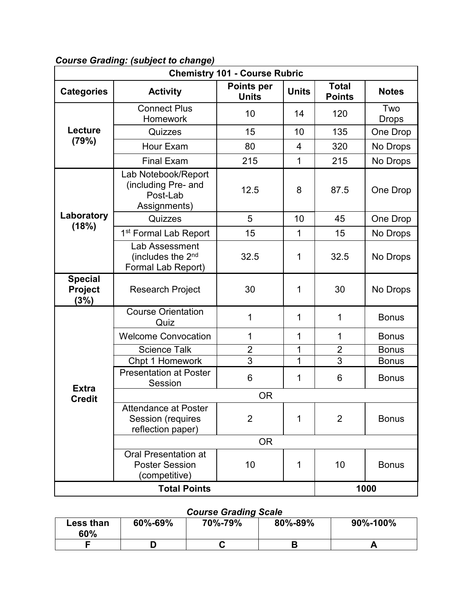| <b>Chemistry 101 - Course Rubric</b> |                                                                        |                |                               |                |                     |  |
|--------------------------------------|------------------------------------------------------------------------|----------------|-------------------------------|----------------|---------------------|--|
| <b>Categories</b>                    | <b>Points per</b><br><b>Units</b><br><b>Activity</b><br><b>Units</b>   |                | <b>Total</b><br><b>Points</b> | <b>Notes</b>   |                     |  |
|                                      | <b>Connect Plus</b><br>Homework                                        | 10             | 14                            | 120            | Two<br><b>Drops</b> |  |
| Lecture<br>(79%)                     | Quizzes                                                                | 15             | 10                            | 135            | One Drop            |  |
|                                      | Hour Exam                                                              | 80             | 4                             | 320            | No Drops            |  |
|                                      | <b>Final Exam</b>                                                      | 215            | 1                             | 215            | No Drops            |  |
|                                      | Lab Notebook/Report<br>(including Pre- and<br>Post-Lab<br>Assignments) | 12.5           | 8                             | 87.5           | One Drop            |  |
| Laboratory                           | Quizzes                                                                | 5              | 10                            | 45             | One Drop            |  |
| (18%)                                | 1 <sup>st</sup> Formal Lab Report                                      | 15             | 1                             | 15             | No Drops            |  |
|                                      | Lab Assessment<br>(includes the 2 <sup>nd</sup><br>Formal Lab Report)  | 32.5           | 1                             | 32.5           | No Drops            |  |
| <b>Special</b><br>Project<br>(3%)    | <b>Research Project</b>                                                | 30             | 1                             | 30             | No Drops            |  |
|                                      | <b>Course Orientation</b><br>Quiz                                      | 1              | 1                             | 1              | <b>Bonus</b>        |  |
|                                      | <b>Welcome Convocation</b>                                             | 1              | 1                             | 1              | <b>Bonus</b>        |  |
|                                      | <b>Science Talk</b>                                                    | $\overline{2}$ | 1                             | $\overline{2}$ | <b>Bonus</b>        |  |
|                                      | Chpt 1 Homework                                                        | 3              | 1                             | 3              | <b>Bonus</b>        |  |
| <b>Extra</b>                         | <b>Presentation at Poster</b><br>Session                               | 6              | 1                             | 6              | <b>Bonus</b>        |  |
| <b>Credit</b>                        | <b>OR</b>                                                              |                |                               |                |                     |  |
|                                      | Attendance at Poster<br>Session (requires<br>reflection paper)         | $\overline{2}$ | $\mathbf 1$                   | $\overline{2}$ | <b>Bonus</b>        |  |
|                                      |                                                                        | <b>OR</b>      |                               |                |                     |  |
|                                      | <b>Oral Presentation at</b><br><b>Poster Session</b><br>(competitive)  | 10             | 1                             | 10             | <b>Bonus</b>        |  |
|                                      | <b>Total Points</b><br>1000                                            |                |                               |                |                     |  |

## *Course Grading: (subject to change)*

# *Course Grading Scale*

| Less than<br>60% | 60%-69% | 70%-79% | 80%-89% | 90%-100% |
|------------------|---------|---------|---------|----------|
|                  |         | v       |         |          |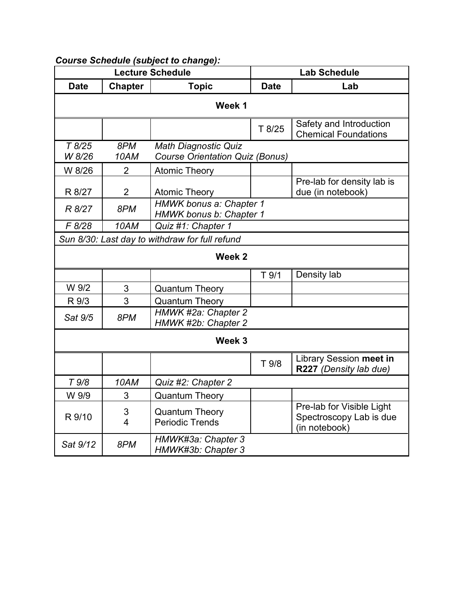| <b>Lecture Schedule</b> |                     | <b>Lab Schedule</b>                                            |                    |                                                                       |  |
|-------------------------|---------------------|----------------------------------------------------------------|--------------------|-----------------------------------------------------------------------|--|
| <b>Date</b>             | <b>Chapter</b>      | <b>Topic</b>                                                   | Lab<br><b>Date</b> |                                                                       |  |
| Week 1                  |                     |                                                                |                    |                                                                       |  |
|                         |                     |                                                                | T 8/25             | Safety and Introduction<br><b>Chemical Foundations</b>                |  |
| T8/25<br>W 8/26         | 8PM<br>10AM         | Math Diagnostic Quiz<br><b>Course Orientation Quiz (Bonus)</b> |                    |                                                                       |  |
| W 8/26                  | $\overline{2}$      | <b>Atomic Theory</b>                                           |                    |                                                                       |  |
| R 8/27                  | $\overline{2}$      | <b>Atomic Theory</b>                                           |                    | Pre-lab for density lab is<br>due (in notebook)                       |  |
| R 8/27                  | 8PM                 | HMWK bonus a: Chapter 1<br>HMWK bonus b: Chapter 1             |                    |                                                                       |  |
| F 8/28                  | 10AM                | Quiz #1: Chapter 1                                             |                    |                                                                       |  |
|                         |                     | Sun 8/30: Last day to withdraw for full refund                 |                    |                                                                       |  |
|                         |                     | Week <sub>2</sub>                                              |                    |                                                                       |  |
|                         |                     |                                                                | T <sub>9/1</sub>   | Density lab                                                           |  |
| W 9/2                   | 3                   | <b>Quantum Theory</b>                                          |                    |                                                                       |  |
| R 9/3                   | $\overline{3}$      | <b>Quantum Theory</b>                                          |                    |                                                                       |  |
| Sat 9/5                 | 8PM                 | HMWK #2a: Chapter 2<br>HMWK #2b: Chapter 2                     |                    |                                                                       |  |
| Week 3                  |                     |                                                                |                    |                                                                       |  |
|                         |                     |                                                                | T 9/8              | Library Session meet in<br>R227 (Density lab due)                     |  |
| T <sub>9/8</sub>        | 10AM                | Quiz #2: Chapter 2                                             |                    |                                                                       |  |
| W 9/9                   | 3                   | <b>Quantum Theory</b>                                          |                    |                                                                       |  |
| R 9/10                  | 3<br>$\overline{4}$ | <b>Quantum Theory</b><br><b>Periodic Trends</b>                |                    | Pre-lab for Visible Light<br>Spectroscopy Lab is due<br>(in notebook) |  |
| Sat 9/12                | 8PM                 | HMWK#3a: Chapter 3<br>HMWK#3b: Chapter 3                       |                    |                                                                       |  |

## *Course Schedule (subject to change):*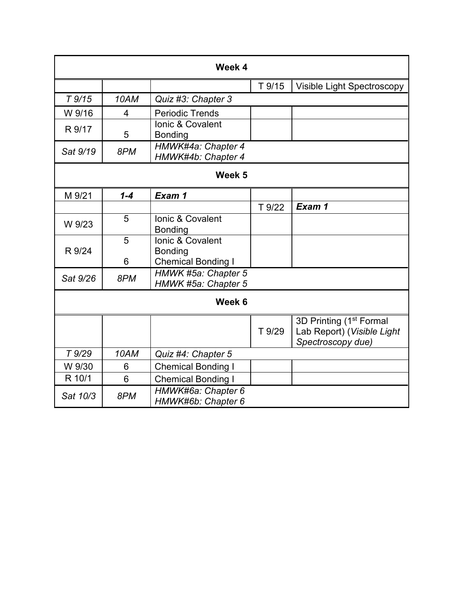| Week 4   |                |                                             |        |                                                                                        |  |
|----------|----------------|---------------------------------------------|--------|----------------------------------------------------------------------------------------|--|
|          |                |                                             | T 9/15 | <b>Visible Light Spectroscopy</b>                                                      |  |
| $T$ 9/15 | 10AM           | Quiz #3: Chapter 3                          |        |                                                                                        |  |
| W 9/16   | 4              | <b>Periodic Trends</b>                      |        |                                                                                        |  |
| R 9/17   | 5              | Ionic & Covalent<br><b>Bonding</b>          |        |                                                                                        |  |
| Sat 9/19 | 8PM            | HMWK#4a: Chapter 4<br>HMWK#4b: Chapter 4    |        |                                                                                        |  |
|          |                | Week <sub>5</sub>                           |        |                                                                                        |  |
| M 9/21   | $1 - 4$        | Exam 1                                      |        |                                                                                        |  |
|          |                |                                             | T 9/22 | Exam 1                                                                                 |  |
| W 9/23   | 5              | Ionic & Covalent<br><b>Bonding</b>          |        |                                                                                        |  |
|          | 5              | Ionic & Covalent                            |        |                                                                                        |  |
| R 9/24   | 6              | <b>Bonding</b><br><b>Chemical Bonding I</b> |        |                                                                                        |  |
| Sat 9/26 | 8PM            | HMWK #5a: Chapter 5<br>HMWK #5a: Chapter 5  |        |                                                                                        |  |
| Week 6   |                |                                             |        |                                                                                        |  |
|          |                |                                             | T 9/29 | 3D Printing (1 <sup>st</sup> Formal<br>Lab Report) (Visible Light<br>Spectroscopy due) |  |
| T 9/29   | 10AM           | Quiz #4: Chapter 5                          |        |                                                                                        |  |
| W 9/30   | 6              | <b>Chemical Bonding I</b>                   |        |                                                                                        |  |
| R 10/1   | $6\phantom{1}$ | <b>Chemical Bonding I</b>                   |        |                                                                                        |  |
| Sat 10/3 | 8PM            | HMWK#6a: Chapter 6<br>HMWK#6b: Chapter 6    |        |                                                                                        |  |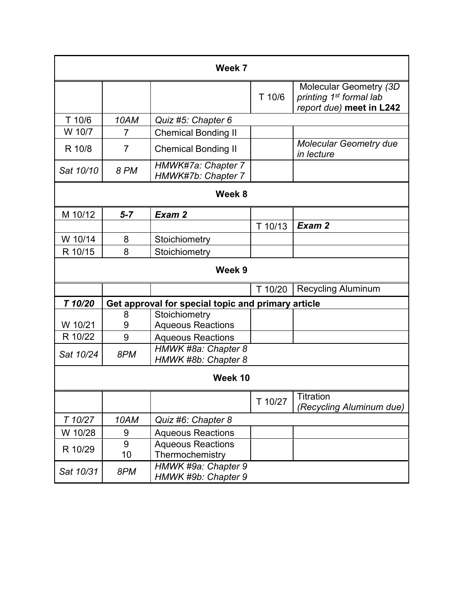|           |                | Week 7                                             |         |                                                                                            |  |  |
|-----------|----------------|----------------------------------------------------|---------|--------------------------------------------------------------------------------------------|--|--|
|           |                |                                                    | T 10/6  | Molecular Geometry (3D)<br>printing 1 <sup>st</sup> formal lab<br>report due) meet in L242 |  |  |
| T 10/6    | 10AM           | Quiz #5: Chapter 6                                 |         |                                                                                            |  |  |
| W 10/7    | 7              | <b>Chemical Bonding II</b>                         |         |                                                                                            |  |  |
| R 10/8    | $\overline{7}$ | <b>Chemical Bonding II</b>                         |         | <b>Molecular Geometry due</b><br>in lecture                                                |  |  |
| Sat 10/10 | <b>8 PM</b>    | HMWK#7a: Chapter 7<br>HMWK#7b: Chapter 7           |         |                                                                                            |  |  |
|           |                | Week 8                                             |         |                                                                                            |  |  |
| M 10/12   | $5 - 7$        | Exam 2                                             |         |                                                                                            |  |  |
|           |                |                                                    | T 10/13 | Exam 2                                                                                     |  |  |
| W 10/14   | 8              | Stoichiometry                                      |         |                                                                                            |  |  |
| R 10/15   | 8              | Stoichiometry                                      |         |                                                                                            |  |  |
|           | Week 9         |                                                    |         |                                                                                            |  |  |
|           |                |                                                    | T 10/20 | <b>Recycling Aluminum</b>                                                                  |  |  |
| T 10/20   |                | Get approval for special topic and primary article |         |                                                                                            |  |  |
|           | 8              | Stoichiometry                                      |         |                                                                                            |  |  |
| W 10/21   | 9              | <b>Aqueous Reactions</b>                           |         |                                                                                            |  |  |
| R 10/22   | 9              | <b>Aqueous Reactions</b>                           |         |                                                                                            |  |  |
| Sat 10/24 | 8PM            | HMWK #8a: Chapter 8<br>HMWK #8b: Chapter 8         |         |                                                                                            |  |  |
|           |                |                                                    |         |                                                                                            |  |  |
|           | Week 10        |                                                    |         |                                                                                            |  |  |
|           |                |                                                    | T 10/27 | Titration<br>(Recycling Aluminum due)                                                      |  |  |
| T 10/27   | 10AM           | Quiz #6: Chapter 8                                 |         |                                                                                            |  |  |
| W 10/28   | 9              | <b>Aqueous Reactions</b>                           |         |                                                                                            |  |  |
| R 10/29   | 9              | <b>Aqueous Reactions</b>                           |         |                                                                                            |  |  |
|           | 10             | Thermochemistry                                    |         |                                                                                            |  |  |
| Sat 10/31 | 8PM            | HMWK #9a: Chapter 9<br>HMWK #9b: Chapter 9         |         |                                                                                            |  |  |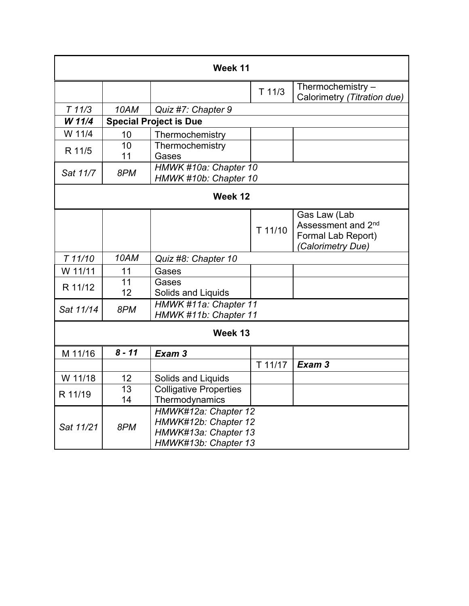| Week 11   |                       |                                                                                              |          |                                                                               |
|-----------|-----------------------|----------------------------------------------------------------------------------------------|----------|-------------------------------------------------------------------------------|
|           |                       |                                                                                              | $T$ 11/3 | Thermochemistry -<br>Calorimetry (Titration due)                              |
| T11/3     | 10AM                  | Quiz #7: Chapter 9                                                                           |          |                                                                               |
| W 11/4    |                       | <b>Special Project is Due</b>                                                                |          |                                                                               |
| W 11/4    | 10                    | Thermochemistry                                                                              |          |                                                                               |
| R 11/5    | 10<br>11              | Thermochemistry<br>Gases                                                                     |          |                                                                               |
| Sat 11/7  | 8PM                   | HMWK #10a: Chapter 10<br>HMWK #10b: Chapter 10                                               |          |                                                                               |
|           |                       | Week 12                                                                                      |          |                                                                               |
|           |                       |                                                                                              | T 11/10  | Gas Law (Lab<br>Assessment and 2nd<br>Formal Lab Report)<br>(Calorimetry Due) |
| T 11/10   | 10AM                  | Quiz #8: Chapter 10                                                                          |          |                                                                               |
| W 11/11   | 11                    | Gases                                                                                        |          |                                                                               |
| R 11/12   | 11<br>12              | Gases<br>Solids and Liquids                                                                  |          |                                                                               |
| Sat 11/14 | 8PM                   | HMWK #11a: Chapter 11<br>HMWK #11b: Chapter 11                                               |          |                                                                               |
|           |                       | Week 13                                                                                      |          |                                                                               |
| M 11/16   | $8 - 11$              | Exam 3                                                                                       |          |                                                                               |
|           |                       |                                                                                              | T 11/17  | Exam 3                                                                        |
| W 11/18   | 12                    | Solids and Liquids                                                                           |          |                                                                               |
| R 11/19   | $\overline{13}$<br>14 | <b>Colligative Properties</b><br>Thermodynamics                                              |          |                                                                               |
| Sat 11/21 | 8PM                   | HMWK#12a: Chapter 12<br>HMWK#12b: Chapter 12<br>HMWK#13a: Chapter 13<br>HMWK#13b: Chapter 13 |          |                                                                               |